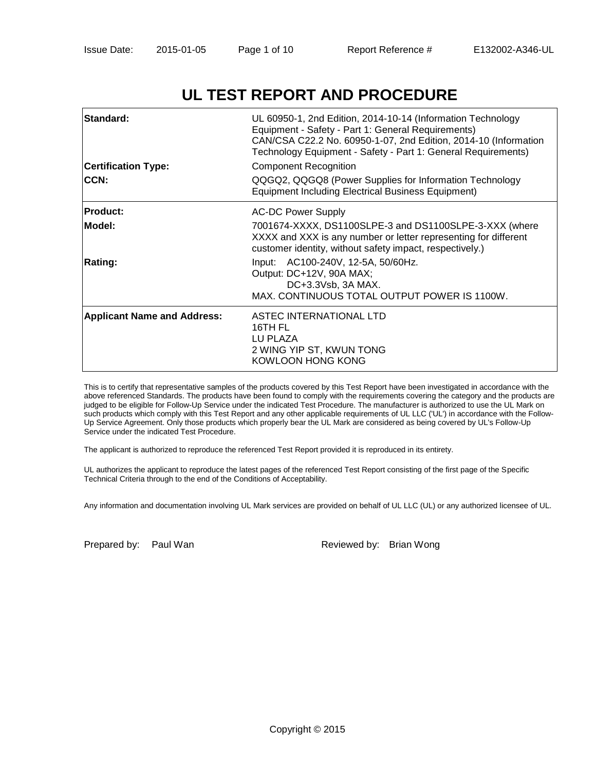# **UL TEST REPORT AND PROCEDURE**

| Standard:<br><b>Certification Type:</b><br>CCN: | UL 60950-1, 2nd Edition, 2014-10-14 (Information Technology<br>Equipment - Safety - Part 1: General Requirements)<br>CAN/CSA C22.2 No. 60950-1-07, 2nd Edition, 2014-10 (Information<br>Technology Equipment - Safety - Part 1: General Requirements)<br>Component Recognition<br>QQGQ2, QQGQ8 (Power Supplies for Information Technology<br><b>Equipment Including Electrical Business Equipment)</b> |
|-------------------------------------------------|--------------------------------------------------------------------------------------------------------------------------------------------------------------------------------------------------------------------------------------------------------------------------------------------------------------------------------------------------------------------------------------------------------|
| <b>Product:</b>                                 | <b>AC-DC Power Supply</b>                                                                                                                                                                                                                                                                                                                                                                              |
| Model:                                          | 7001674-XXXX, DS1100SLPE-3 and DS1100SLPE-3-XXX (where<br>XXXX and XXX is any number or letter representing for different<br>customer identity, without safety impact, respectively.)                                                                                                                                                                                                                  |
| Rating:                                         | Input: AC100-240V, 12-5A, 50/60Hz.<br>Output: DC+12V, 90A MAX;<br>DC+3.3Vsb, 3A MAX.<br>MAX. CONTINUOUS TOTAL OUTPUT POWER IS 1100W.                                                                                                                                                                                                                                                                   |
| <b>Applicant Name and Address:</b>              | ASTEC INTERNATIONAL LTD<br>16TH FL<br>LU PLAZA<br>2 WING YIP ST, KWUN TONG<br>KOWLOON HONG KONG                                                                                                                                                                                                                                                                                                        |

This is to certify that representative samples of the products covered by this Test Report have been investigated in accordance with the above referenced Standards. The products have been found to comply with the requirements covering the category and the products are judged to be eligible for Follow-Up Service under the indicated Test Procedure. The manufacturer is authorized to use the UL Mark on such products which comply with this Test Report and any other applicable requirements of UL LLC ('UL') in accordance with the Follow-Up Service Agreement. Only those products which properly bear the UL Mark are considered as being covered by UL's Follow-Up Service under the indicated Test Procedure.

The applicant is authorized to reproduce the referenced Test Report provided it is reproduced in its entirety.

UL authorizes the applicant to reproduce the latest pages of the referenced Test Report consisting of the first page of the Specific Technical Criteria through to the end of the Conditions of Acceptability.

Any information and documentation involving UL Mark services are provided on behalf of UL LLC (UL) or any authorized licensee of UL.

Prepared by: Paul Wan Reviewed by: Brian Wong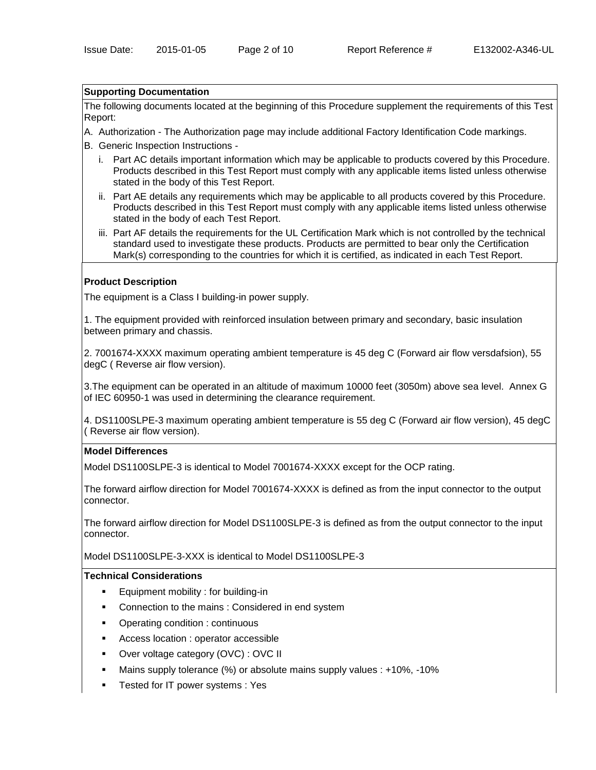#### **Supporting Documentation**

The following documents located at the beginning of this Procedure supplement the requirements of this Test Report:

- A. Authorization The Authorization page may include additional Factory Identification Code markings.
- B. Generic Inspection Instructions
	- i. Part AC details important information which may be applicable to products covered by this Procedure. Products described in this Test Report must comply with any applicable items listed unless otherwise stated in the body of this Test Report.
	- ii. Part AE details any requirements which may be applicable to all products covered by this Procedure. Products described in this Test Report must comply with any applicable items listed unless otherwise stated in the body of each Test Report.
	- iii. Part AF details the requirements for the UL Certification Mark which is not controlled by the technical standard used to investigate these products. Products are permitted to bear only the Certification Mark(s) corresponding to the countries for which it is certified, as indicated in each Test Report.

### **Product Description**

The equipment is a Class I building-in power supply.

1. The equipment provided with reinforced insulation between primary and secondary, basic insulation between primary and chassis.

2. 7001674-XXXX maximum operating ambient temperature is 45 deg C (Forward air flow versdafsion), 55 degC ( Reverse air flow version).

3.The equipment can be operated in an altitude of maximum 10000 feet (3050m) above sea level. Annex G of IEC 60950-1 was used in determining the clearance requirement.

4. DS1100SLPE-3 maximum operating ambient temperature is 55 deg C (Forward air flow version), 45 degC ( Reverse air flow version).

#### **Model Differences**

Model DS1100SLPE-3 is identical to Model 7001674-XXXX except for the OCP rating.

The forward airflow direction for Model 7001674-XXXX is defined as from the input connector to the output connector.

The forward airflow direction for Model DS1100SLPE-3 is defined as from the output connector to the input connector.

Model DS1100SLPE-3-XXX is identical to Model DS1100SLPE-3

#### **Technical Considerations**

- Equipment mobility : for building-in
- Connection to the mains : Considered in end system
- Operating condition : continuous
- Access location : operator accessible
- Over voltage category (OVC) : OVC II
- Mains supply tolerance (%) or absolute mains supply values : +10%, -10%
- **Tested for IT power systems : Yes**